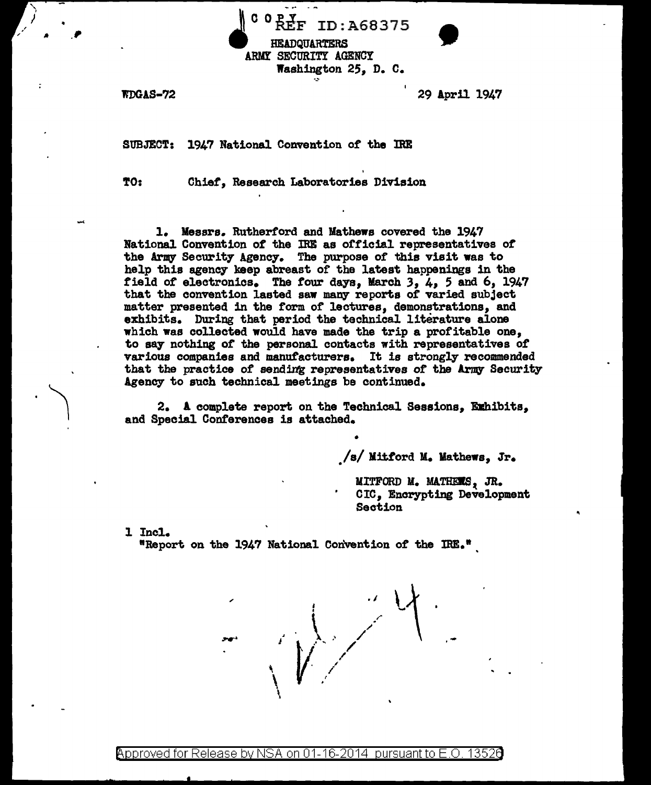

\ I

.  $\bigwedge$ 

WDGAS-72 29 April 1947

•

SUBJECT: 1947 National Convention of the IRE

TO: Chief, Research Laboratories Division

l. Messrs. Rutherf'ord and Mathews covered the 1947 National Convention *ot* the IRE as official representatives of" the Army Security Agency. The purpose of this visit was to help this agency keep abreast of the latest happenings in the field *ot* electronics. The *tour* days, March 3, 4, 5 and 6, 1947 that the convention lasted saw many reports or varied subject matter presented in the form of lectures, demonstrations, and exhibits. During that period the technical literature alone which was collected would have made the trip a profitable one, to say nothing of the personal contacts with representatives of various companies and manuf'acturers. It is strongly recommended that the practice of sending representatives of the Army Security Agency to such technical meetings be continued.

2. A complete report on the Technical Sessions, Ezhibits, and Special Conferences is attached.

•

*. Isl* Mi:ttord M. Mathews, Jr.

MITFORD M. MATHEES, JR. CIC, Encrypting Development Section

1 Incl.

"Report on the 1947 National Convention of the IRE. <sup>9</sup>

, J .1  $\bigg\downarrow$  ,  $\bigg\downarrow$ *l'*  / . '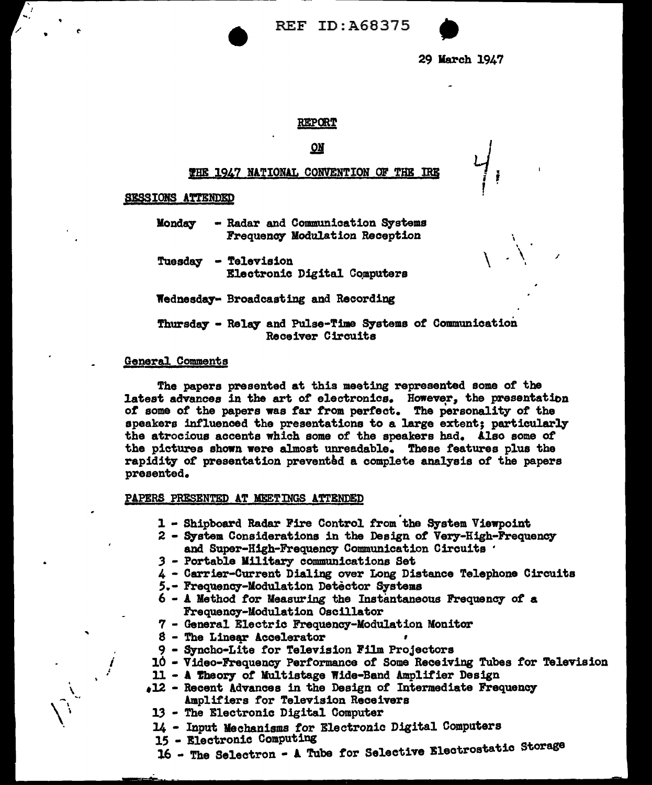REF ID:A68375



29 March 1947

 $\frac{1}{\sqrt{2}}$ 

 $\setminus \setminus$ 

/

### REPORT

# .QI

# THE 1947 NATIONAL CONVENTION OF THE IRE

### §ESSIONS ATTENDED

"

Monday - Radar and Communication Systems Frequency Modulation Reception

Tuesday - Television Electronic Digital Cqmputers

Wednesd&7- Broadcasting and Recording

Thursday - Relay and Pulse-Time Systems of Communication Receiver Circuits

#### General Comments

..

; .

\

I

The papers presented at this meeting represented some of' the latest advances in the art of electronics. However, the presentation *ot* some of' the papers was tar :f'rom perfect. The personality *ot* the speakers influenced the presentations to a large extent; particularly the atrocious accents which some of the speakers had. Also some ot the pictures shown were almost unreadable. These features plus the rapidity of presentation prevented a complete analysis of the papers presented.

#### PAPERS PRESENTED AT MEETINGS ATTENDED

- 1 Shipboard Radar Fire Control from the System Viewpoint
- 2 System Considerations in the Design *ot* Very-High-Frequency and Super-High-Frequency Communication Circuits · *3* - Portable Military communications Set
- 
- 4 Carrier-Current Dialing over Long Distance Telephone Circuits
- 5.- Frequency-Modulation Detector Systems
- $6$  A Method for Measuring the Instantaneous Frequency of a Frequency-Modulation Oscillator
- 7 General Electric Frequency-Modulation Monitor
- $8$  The Linear Accelerator
- 
- 9 Syncho-Lite for Television Film Projectors<br>10 Video-Frequency Performance of Some Receiving Tubes for Television
- 11 A theory of Multistage Wide-Band Amplifier Design
- $\bullet$ 12 Recent Advances in the Design of Intermediate Frequency Amplifiers for Television Receivers
- 13 The Electronic Digital Computer
- 
- 
- 14 Input Mechanisms for Electronic Digital Computers<br>15 Electronic Computing<br>16 The Selectron A Tube for Selective Electrostatic Storage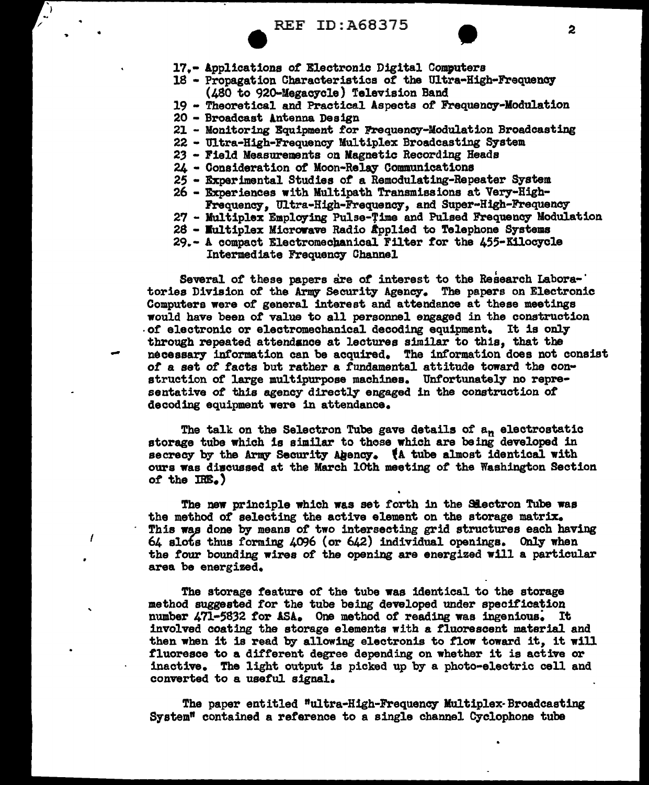- 18 Propagation Characteristics *ot* the Ultra-High-Frequency (480 to 920-Megacycle) Television Band
- 19 Theoretical and Practics.l Aspects *ot* Frequency-Modulation
- 

.. •

-

 $\prime$ 

- 21 Monitoring Equipment for Frequency-Modulation Broadcasting
- 22 Ultra-High-Frequency Multiplex Broadcasting System
- 23 Field Measurements on Magnetic Recording Heads
- 24 Consideration of Moon-Relay Communications
- 25 Experimental Studies *ot* a Remodulating-Repeater System 26 Experiences with Multipath Transmissions at Very-High-
- 
- Frequeney, Ultra-High-Frequency, and Super-High-Frequeney-
- 27 Multiplex Employing Pulse-Time and Pulsed Frequency Modulation
- $28$  Multiplex Microwave Radio abplied to Telephone Systems
- 29.- A compact Electromechanical Filter for the 455-Kilocycle Intermediate Frequency Channel

Several of these papers are of interest to the Research Labora-<sup>1</sup> tories Division ot the Army Security Agency. The papers on Electronic Computers were of general interest and attendance at these meetings would have been of' value to all personnel engaged in the construction .of electronic or electromechanical decoding equipment. It is only through repeated attendance at lectures similar to this, that the necessary inf'ormation can be acquired. The information does not consist of a set of facts but rather a fundamental attitude toward the construction of large multipurpose machines. Unfortunately no representative of this agency directly engaged in the construction or decoding equipment were in attendance.

The talk on the Selectron Tube gave details of an electrostatic storage tube which is similar to those which are being developed in secrecy by the Army Security Agency. (A tube almost identical with ours was diwcussed at the March loth meeting of the Washington Section *of* the IRE.,

The new principle which was set forth in the Slectron Tube was the method of' selecting the active element on the storage matrix. This was done by means of two intersecting grid structures each having  $64$  slots thus forming  $4096$  (or  $642)$  individual openings. Only when the *tour* bounding wires of the opening are energized will a particular area be energized.

The storage feature of the tube was identical to the storage method suggested for the tube being developed under specification number 471-5832 for ASA. One method of reading was ingenious. It involved coating the storage elements with a fluorescent material and then when it is read by allowing electronis to flow toward it, it will fluoresce to a different degree depending on whether it is active or inactive. The light output is picked up by a photo-electric cell and converted to a useful signal.

The paper entitled "ultra-High-Frequency Multiplex-Broadcasting System" contained a reference to a single channel Cyclophone tube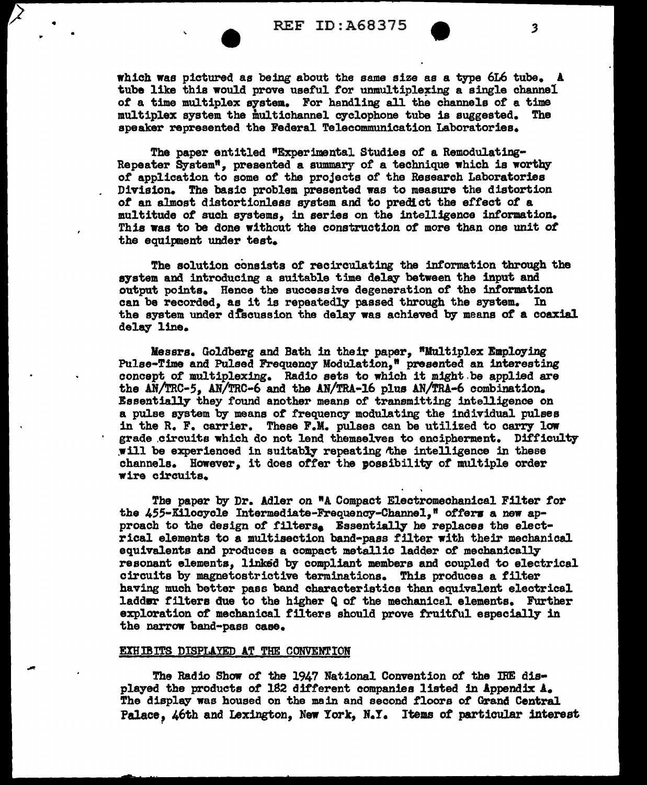•

-

which was pictured as being about the same size as a type 6L6 tube. A tube like this would prove useful for unmultiplexing a single channel *ot* a time multiplex system. For handling all the channels or a time multiplex system the multichannel cyclophone tube is suggested. The speaker represented the Federal Telecommunication Laboratories.

The paper entitled "Experimental Studies or a Remodulating-Repeater System", presented a summary or a technique which is worthy *ot* application to some or the projects of the Research Laboratories Division. !he basic problem presented was to measure the distortion *ot* an al.most distortionless system arid to predict the ef.fect *ot* <sup>a</sup> multitude or such systems, in series on the intelligence information. This was to be done without the construction *ot* more than one unit *ot*  the equipment under test.

The solution consists of recirculating the information through the system and introducing a suitable time delay between the input and output points. Hence the successive degeneration or the information can be recorded, as it is repeatedly passed through the system. In the system under discussion the delay was achieved by means of a coaxial delay line.

Messrs. Goldberg and Bath in their paper, "Multiplex Employing Pulse-Time and Pulsed Frequency Modulation,• presented an interesting concept of multiplexing. Radio sets to which it might.be applied are the AN/TRC-5, AN/TRC-6 and the AN/TRA-16 plus AN/TRA-6 combination. Essentially they found another means or transmitting intelligence on a pulse system by means of frequency modulating the individual pulses in the R. F. carrier. These F.M. pulses can be utilized to carry low grade circuits which do not lend themselves to encipherment. Difficulty will be experienced in suitably repeating the intelligence in these channels. However, it does otfer the possibility of multiple order wire circuits.

The paper by Dr. Adler on "A Compact Electromechanical Filter tor the 455-Kilocycle Intermediate-Frequency-Channel," offers a new approach to the design of filters<sub>e</sub> Essentially he replaces the electrical elements to a multisection band-pass tilter with their mechanical equivalents and produces a compact metallic ladder of mechanically resonant elements, linked by compliant members and coupled to electrical circuits by magnetostrictive terminations. This produces a tilter having much better pass band characteristics than equivalent electrical laddsr filters due to the higher Q of the mechanical elements. Further exploration of mechanical tilters should prove fruitful especially in the narrow band-pass case.

#### EXH IBITS DISPLAYED AT THE CONVENTION

The Radio Show of the 1947 National Convention *ot* the IRE dis• played the products *ot* 182 different companies listed in Appendix A. The display was housed on the main and second floors of Grand Central Palace, 46th and Lexington, New York, N.Y. Items of particular interest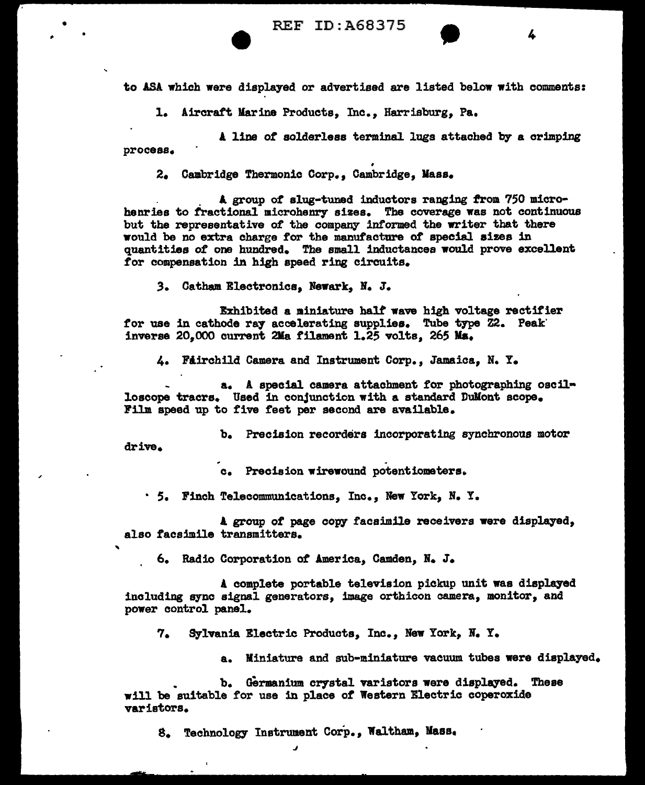REF ID:A68375 **•** 4

to ASA which were displayed or advertised are listed below with comments:

1. Aircraft Marine Products, Inc., Harrisburg, Pa,

l line *ot* solderless terminal. lugs attached by a crimping process.

• 2. Cambridge Thermonic Corp., Cambridge, Mass.

. A group *ot* slug-tuned inductors ranging from. 750 microhenries to fractional microhenry sizes. The coverage was not continuous but the representative of the company informed the writer that there would be no extra charge for the manufacture of special sizes in quantities *ot* one hundred. The small inductances would prove excellent for compensation in high speed ring circuits.

*3.* Oatham Electronics, Newark, N. J.

• •

..

Exhibited a miniature halt wave high voltage rectifier for use in cathode ray accelerating supplies. Tube type Z2. Peak' inverse 20,000 current 2Jla filament 1.25 volts, 265 Ma.

4. Fairchild Camera and Instrument Corp., Jamaica, N. Y.

a. A special camera attachment tor photographing oscil• loscope tracrs. Used in conjunction with a standard Dullont scope. Film speed up to five feet per second are available.

b. Precision recorders incorporating synchronous motor drive.

c. Precision wirewound potentiometers.

· 5. Finch Telecommunications, Inc., New York, N. Y.

A group of page copy facsimile receivers were displayed, also facsimile transmitters.

6. Radio Corporation *ot* America, Camden, N. J.

A complete portable television pickup unit was displayed including sync signal generators, image orthicon camera, monitor, and power control panel.

7. Sylvania Electric Products, Inc., New York, N. Y.

a. Miniature and sub-miniature vacuum tubes were displayed.

b. Germanium crystal varistors were displayed. These will be suitable for use in place of Western Electric coperoxide varistors.

s. Technology Instrument Corp., Waltham, Maas.

J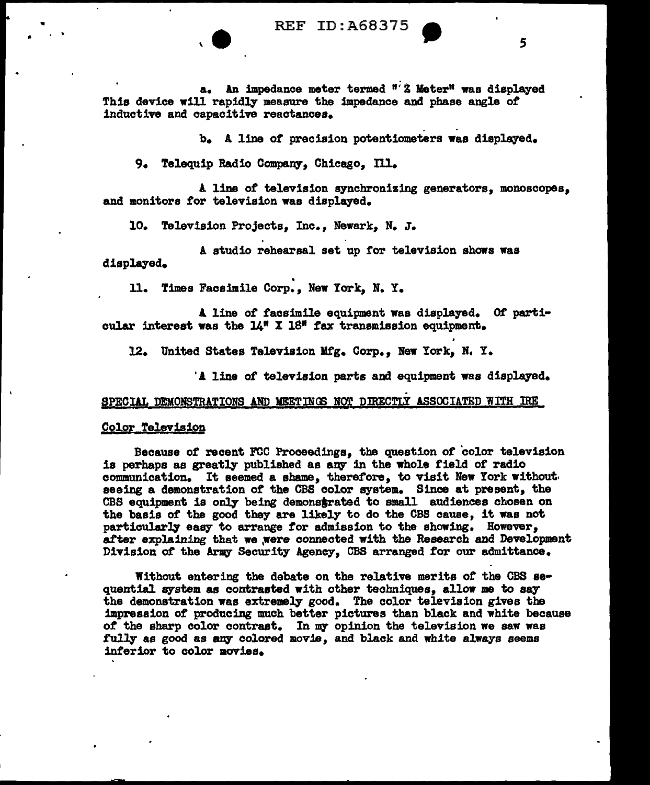REF ID: A68375

a. An impedance meter termed "'Z Meter" was displayed This device will rapidly measure the impedance and phase angle *ot* 

b. A line of precision potentiometers was displayed.

9. Telequip Radio Company, Chicago, Ill.

A line or television synchronizing generators, monoscopes, and monitors for television was displayed.

10. Television Projects, Inc., Newark, N. J.

A studio rehearsal set up for television shows was displayed.

• 11. Times Facsimile Corp., New York, N. Y.

A. line of facsimile equipment was displa7ed. Of particular interest was the  $14$ <sup>m</sup> X 18<sup>m</sup> fax transmission equipment.

12. United States Television Mtg. Corp., New York, N. Y.

'A line of television parts and equipment was displayed.

#### SPECIAL DEMONSTRATIONS AND MEETINGS NOT DIRECTLY ASSOCIATED WITH IRE

### Color Television

Because or recent FCC Proceedings, the question or color television is perhaps as greatly published as any in the whole field of radio communication. It seemed a shame, therefore, to visit New York without. seeing a demonstration or the CBS color system. Since at present, the CBS equipment is only being demonstrated to small audiences chosen on the basis or the good they are likely to do the CBS cause, it was not particularly easy to arrange *tor* admission to the showing. However, after explaining that we were connected with the Research and Development Division of the Army Security Agency, CBS arranged for our admittance.

Without entering the debate on the relative merits of the CBS sequential system as contrasted with other techniques, allow me to say the demonstration was extremely good. The color television gives the impression of producing much better pictures than black and white because of the sharp color contrast. In my opinion the television we saw was fully as good as any colored movie, and black and white always seems interior to color movies.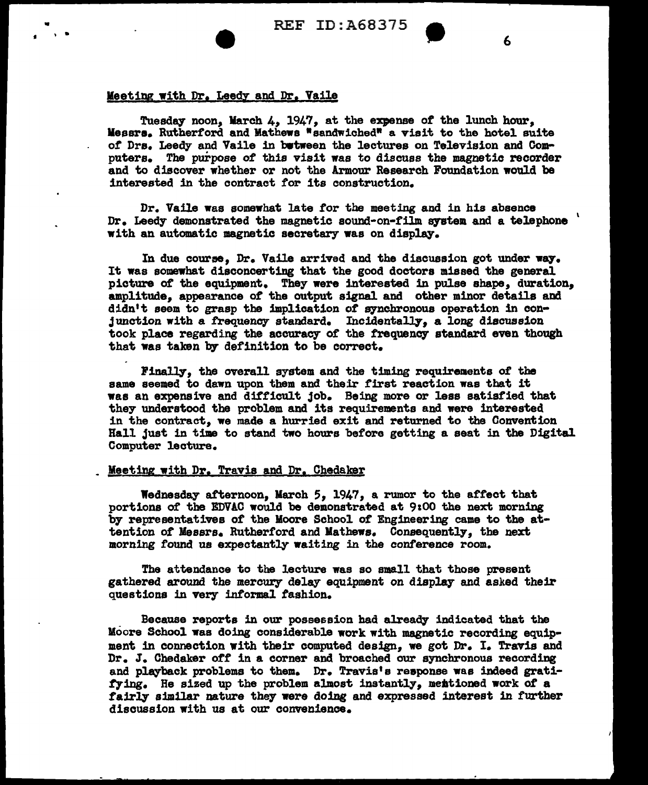REF ID:A68375 6

#### Meeting with Dr. Leedy and Dr. Vaile

•

Tuesday noon, March 4, 1947, at the expense of the lunch hour, lleesra, Rutherford and Mathews •sandwiched" a visit to the hotel suite or Drs, Leedy and Vaile in bwtween the lectures on Television and Computers, The purpose of this visit was to discuss the magnetic recorder and to discover whether or not the Armour Research Foundation would be interested in the contract for its construction,

Dr. Vaile was somewhat late tor the meeting and in his absence Dr. Leedy demonstrated the magnetic sound-on-film system and a telephone with an automatic magnetic secretary was on display,

In due course. Dr. Vaile arrived and the discussion got under way. It was somewhat disconcerting that the good doctors missed the general picture of the equipment. They were interested in pulse shape, duration, amplitude, appearance *ot* the output signal and other minor details and didn't seem to grasp the implication of synchronous operation in conjunction with a frequency standard. Incidentally, a long discussion took place regarding the accuracy of the frequency standard even though that was taken by definition to be correct.

Finally, the overall system and the timing requirements of the same seemed to dawn upon them and their first reaction was that it was an expensive and difficult job. Being more or less satisfied that they understood the problem and its requirements and were interested in the contract, we made a hurried exit and returned to the Convention Hall just in time to stand two hours before getting a seat in the Digital Computer lecture,

## Meeting with Dr. Travis and Dr. Chedaker

Wednesday afternoon, March 5, 1947, a rwnor to the affect that portions or the EDVAC would be demonstrated at 9100 the next morning by representatives of the Moore School of Engineering came to the attention *ot* Messrs, Rutherford and Mathews, Consequently, the next morning found us expectantly waiting in the conference room.

The attendance to the lecture was so small that those present gathered around the mercury delay equipment on display and asked their questions in very informal fashion.

Because reports in our possession had already indicated that the Moore School was doing considerable work with magnetic recording equipment in connection with their computed design, we got Dr, I, Travis and Dr, J, Ohedaker off in a corner and broached our synchronous recording and playback problems to them. Dr. Travis's response was indeed gratifying. He sized up the problem almost instantly, mentioned work of a fairly similar nature they were doing and expressed interest in further discussion with us at our convenience.